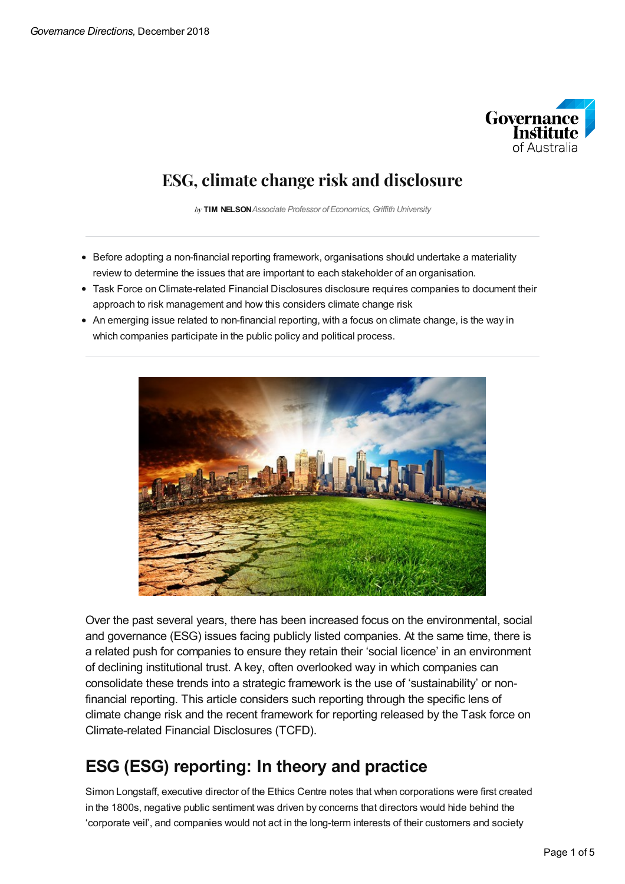

## **ESG,climatechangerisk and disclosure**

by **TIM NELSON***Associate Professor of Economics,Griffith University*

- Before adopting a non-financial reporting framework, organisations should undertake a materiality review to determine the issues that are important to each stakeholder of an organisation.
- Task Force on Climate-related Financial Disclosures disclosure requires companies to document their approach to risk management and how this considers climate change risk
- An emerging issue related to non-financial reporting, with a focus on climate change, is the way in which companies participate in the public policy and political process.



Over the past several years, there has been increased focus on the environmental, social and governance (ESG) issues facing publicly listed companies. At the same time, there is a related push for companies to ensure they retain their 'social licence' in an environment of declining institutional trust. A key, often overlooked way in which companies can consolidate these trends into a strategic framework is the use of 'sustainability' or nonfinancial reporting. This article considers such reporting through the specific lens of climate change risk and the recent framework for reporting released by the Task force on Climate-related Financial Disclosures (TCFD).

## **ESG (ESG) reporting: In theory and practice**

Simon Longstaff, executive director of the Ethics Centre notes that when corporations were first created in the 1800s, negative public sentiment was driven by concerns that directors would hide behind the 'corporate veil', and companies would not act in the long-term interests of their customers and society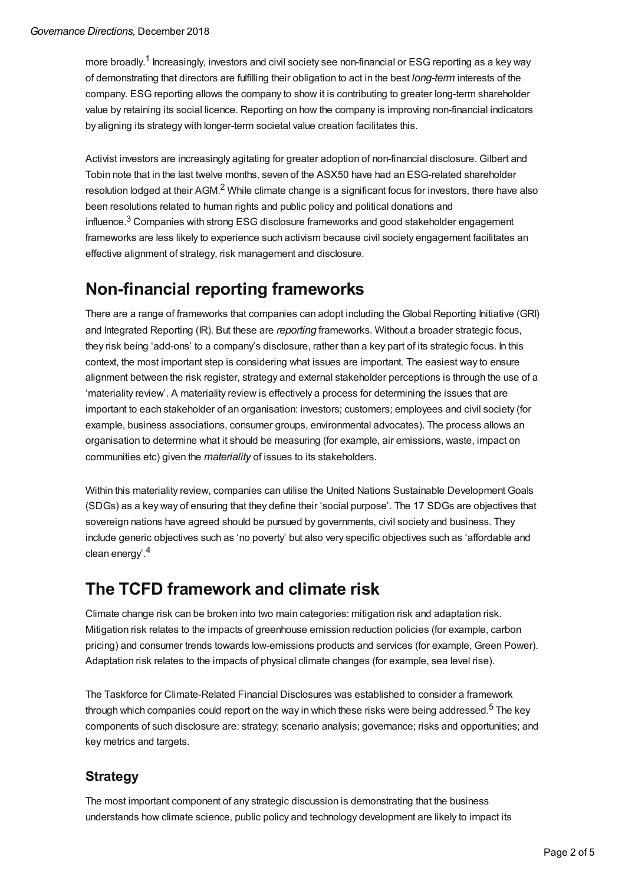more broadly.<sup>1</sup> Increasingly, investors and civil society see non-financial or ESG reporting as a key way of demonstrating that directors are fulfilling their obligation to act in the best *long-term* interests of the company. ESG reporting allows the company to show it is contributing to greater long-term shareholder value by retaining its social licence. Reporting on how the company is improving non-financial indicators by aligning its strategy with longer-term societal value creation facilitates this.

Activist investors are increasingly agitating for greater adoption of non-financial disclosure. Gilbert and Tobin note that in the last twelve months, seven of the ASX50 have had an ESG-related shareholder resolution lodged at their AGM.<sup>2</sup> While climate change is a significant focus for investors, there have also been resolutions related to human rights and public policy and political donations and influence. $^3$  Companies with strong ESG disclosure frameworks and good stakeholder engagement frameworks are less likely to experience such activism because civil society engagement facilitates an effective alignment of strategy, risk management and disclosure.

## **Non-financial reporting frameworks**

There are a range of frameworks that companies can adopt including the Global Reporting Initiative (GRI) and Integrated Reporting (IR). But these are *reporting* frameworks. Without a broader strategic focus, they risk being 'add-ons' to a company's disclosure, rather than a key part of its strategic focus. In this context, the most important step is considering what issues are important. The easiest way to ensure alignment between the risk register, strategy and external stakeholder perceptions is through the use of a 'materiality review'. A materiality review is effectively a process for determining the issues that are important to each stakeholder of an organisation: investors; customers; employees and civil society (for example, business associations, consumer groups, environmental advocates). The process allows an organisation to determine what it should be measuring (for example, air emissions, waste, impact on communities etc) given the *materiality* of issues to its stakeholders.

Within this materiality review, companies can utilise the United Nations Sustainable Development Goals (SDGs) as a key way of ensuring that they define their 'social purpose'. The 17 SDGs are objectives that sovereign nations have agreed should be pursued by governments, civil society and business. They include generic objectives such as 'no poverty' but also very specific objectives such as 'affordable and clean energy'. 4

## **The TCFD framework and climate risk**

Climate change risk can be broken into two main categories: mitigation risk and adaptation risk. Mitigation risk relates to the impacts of greenhouse emission reduction policies (for example, carbon pricing) and consumer trends towards low-emissions products and services (for example, Green Power). Adaptation risk relates to the impacts of physical climate changes (for example, sea level rise).

The Taskforce for Climate-Related Financial Disclosures was established to consider a framework through which companies could report on the way in which these risks were being addressed.<sup>5</sup> The key components of such disclosure are: strategy; scenario analysis; governance; risks and opportunities; and key metrics and targets.

### **Strategy**

The most important component of any strategic discussion is demonstrating that the business understands how climate science, public policy and technology development are likely to impact its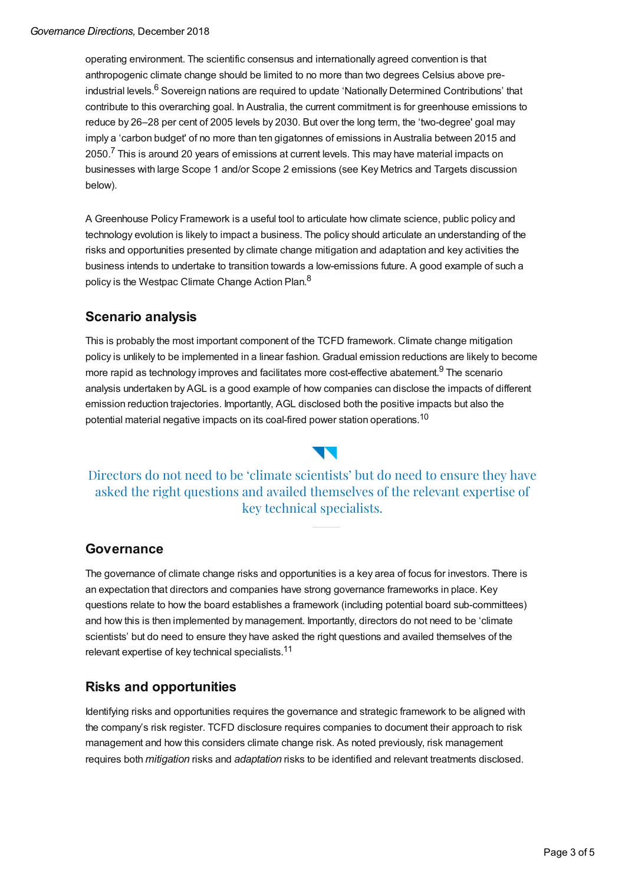operating environment. The scientific consensus and internationally agreed convention is that anthropogenic climate change should be limited to no more than two degrees Celsius above preindustrial levels.<sup>6</sup> Sovereign nations are required to update 'Nationally Determined Contributions' that contribute to this overarching goal. In Australia, the current commitment is for greenhouse emissions to reduce by 26–28 per cent of 2005 levels by 2030. But over the long term, the 'two-degree' goal may imply a 'carbon budget' of no more than ten gigatonnes of emissions in Australia between 2015 and 2050.<sup>7</sup> This is around 20 years of emissions at current levels. This may have material impacts on businesses with large Scope 1 and/or Scope 2 emissions (see Key Metrics and Targets discussion below).

A Greenhouse Policy Framework is a useful tool to articulate how climate science, public policy and technology evolution is likely to impact a business. The policy should articulate an understanding of the risks and opportunities presented by climate change mitigation and adaptation and key activities the business intends to undertake to transition towards a low-emissions future. A good example of such a policy is the Westpac Climate Change Action Plan.<sup>8</sup>

### **Scenario analysis**

This is probably the most important component of the TCFD framework. Climate change mitigation policy is unlikely to be implemented in a linear fashion. Gradual emission reductions are likely to become more rapid as technology improves and facilitates more cost-effective abatement.<sup>9</sup> The scenario analysis undertaken by AGL is a good example of how companies can disclose the impacts of different emission reduction trajectories. Importantly, AGL disclosed both the positive impacts but also the potential material negative impacts on its coal-fired power station operations.<sup>10</sup>

### Directors do not need to be 'climate scientists' but do need to ensure they have asked the right questions and availed themselves of the relevant expertise of key technical specialists.

#### **Governance**

The governance of climate change risks and opportunities is a key area of focus for investors. There is an expectation that directors and companies have strong governance frameworks in place. Key questions relate to how the board establishes a framework (including potential board sub-committees) and how this is then implemented by management. Importantly, directors do not need to be 'climate scientists' but do need to ensure they have asked the right questions and availed themselves of the relevant expertise of key technical specialists.<sup>11</sup>

#### **Risks and opportunities**

Identifying risks and opportunities requires the governance and strategic framework to be aligned with the company's risk register. TCFD disclosure requires companies to document their approach to risk management and how this considers climate change risk. As noted previously, risk management requires both *mitigation* risks and *adaptation* risks to be identified and relevant treatments disclosed.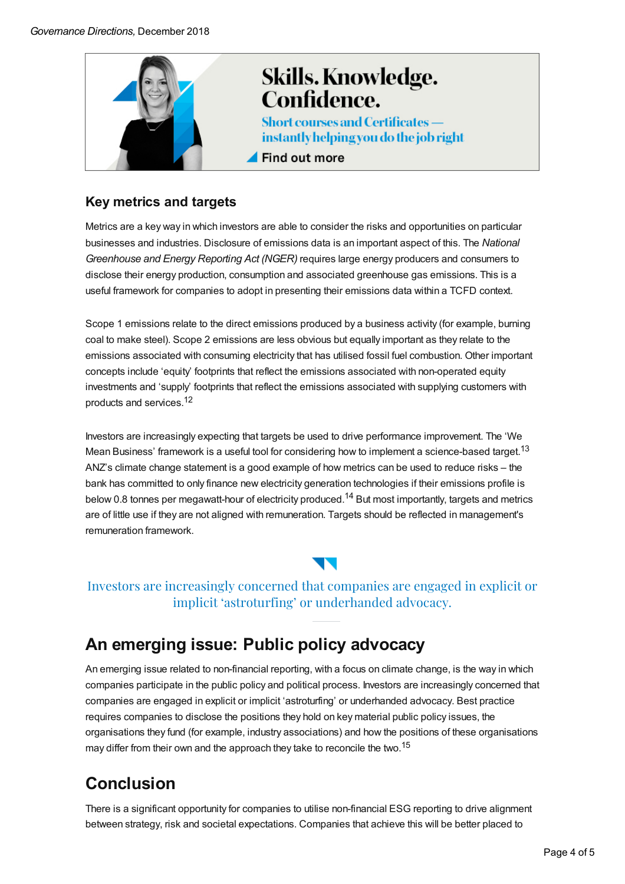

### **Key metrics and targets**

Metrics are a key way in which investors are able to consider the risks and opportunities on particular businesses and industries. Disclosure of emissions data is an important aspect of this. The *National Greenhouse and Energy Reporting Act (NGER)* requires large energy producers and consumers to disclose their energy production, consumption and associated greenhouse gas emissions. This is a useful framework for companies to adopt in presenting their emissions data within a TCFD context.

Scope 1 emissions relate to the direct emissions produced by a business activity (for example, burning coal to make steel). Scope 2 emissions are less obvious but equally important as they relate to the emissions associated with consuming electricity that has utilised fossil fuel combustion. Other important concepts include 'equity' footprints that reflect the emissions associated with non-operated equity investments and 'supply' footprints that reflect the emissions associated with supplying customers with products and services. 12

Investors are increasingly expecting that targets be used to drive performance improvement. The 'We Mean Business' framework is a useful tool for considering how to implement a science-based target.<sup>13</sup> ANZ's climate change statement is a good example of how metrics can be used to reduce risks – the bank has committed to only finance new electricity generation technologies if their emissions profile is below 0.8 tonnes per megawatt-hour of electricity produced.<sup>14</sup> But most importantly, targets and metrics are of little use if they are not aligned with remuneration. Targets should be reflected in management's remuneration framework.

### Investors are increasingly concerned that companies are engaged in explicit or implicit 'astroturfing' or underhanded advocacy.

## **An emerging issue: Public policy advocacy**

An emerging issue related to non-financial reporting, with a focus on climate change, is the way in which companies participate in the public policy and political process. Investors are increasingly concerned that companies are engaged in explicit or implicit 'astroturfing' or underhanded advocacy. Best practice requires companies to disclose the positions they hold on key material public policy issues, the organisations they fund (for example, industry associations) and how the positions of these organisations may differ from their own and the approach they take to reconcile the two.<sup>15</sup>

# **Conclusion**

There is a significant opportunity for companies to utilise non-financial ESG reporting to drive alignment between strategy, risk and societal expectations. Companies that achieve this will be better placed to